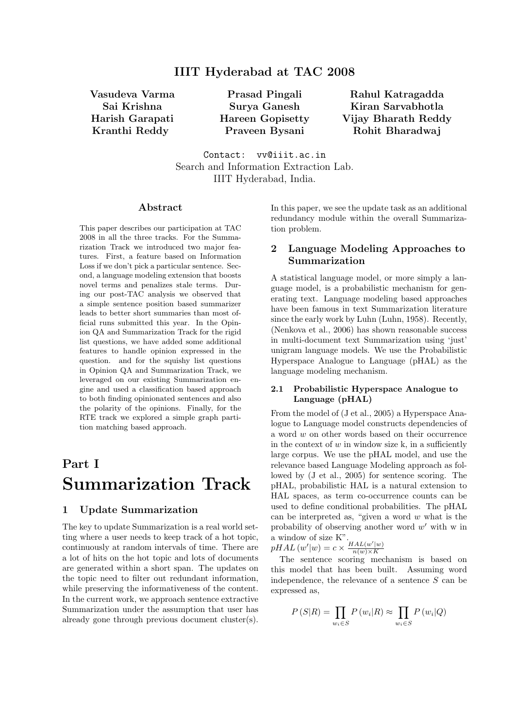Vasudeva Varma Sai Krishna Harish Garapati Kranthi Reddy

Prasad Pingali Surya Ganesh Hareen Gopisetty Praveen Bysani

Rahul Katragadda Kiran Sarvabhotla Vijay Bharath Reddy Rohit Bharadwaj

Contact: vv@iiit.ac.in Search and Information Extraction Lab. IIIT Hyderabad, India.

## Abstract

This paper describes our participation at TAC 2008 in all the three tracks. For the Summarization Track we introduced two major features. First, a feature based on Information Loss if we don't pick a particular sentence. Second, a language modeling extension that boosts novel terms and penalizes stale terms. During our post-TAC analysis we observed that a simple sentence position based summarizer leads to better short summaries than most official runs submitted this year. In the Opinion QA and Summarization Track for the rigid list questions, we have added some additional features to handle opinion expressed in the question. and for the squishy list questions in Opinion QA and Summarization Track, we leveraged on our existing Summarization engine and used a classification based approach to both finding opinionated sentences and also the polarity of the opinions. Finally, for the RTE track we explored a simple graph partition matching based approach.

# Part I Summarization Track

## 1 Update Summarization

The key to update Summarization is a real world setting where a user needs to keep track of a hot topic, continuously at random intervals of time. There are a lot of hits on the hot topic and lots of documents are generated within a short span. The updates on the topic need to filter out redundant information, while preserving the informativeness of the content. In the current work, we approach sentence extractive Summarization under the assumption that user has already gone through previous document cluster(s).

In this paper, we see the update task as an additional redundancy module within the overall Summarization problem.

# 2 Language Modeling Approaches to Summarization

A statistical language model, or more simply a language model, is a probabilistic mechanism for generating text. Language modeling based approaches have been famous in text Summarization literature since the early work by Luhn (Luhn, 1958). Recently, (Nenkova et al., 2006) has shown reasonable success in multi-document text Summarization using 'just' unigram language models. We use the Probabilistic Hyperspace Analogue to Language (pHAL) as the language modeling mechanism.

## 2.1 Probabilistic Hyperspace Analogue to Language (pHAL)

From the model of (J et al., 2005) a Hyperspace Analogue to Language model constructs dependencies of a word w on other words based on their occurrence in the context of  $w$  in window size k, in a sufficiently large corpus. We use the pHAL model, and use the relevance based Language Modeling approach as followed by (J et al., 2005) for sentence scoring. The pHAL, probabilistic HAL is a natural extension to HAL spaces, as term co-occurrence counts can be used to define conditional probabilities. The pHAL can be interpreted as, "given a word  $w$  what is the probability of observing another word  $w'$  with w in a window of size K".

 $pHAL(w'|w) = c \times \frac{HAL(w'|w)}{n(w) \times K}$  $n(w)\times K$ 

The sentence scoring mechanism is based on this model that has been built. Assuming word independence, the relevance of a sentence  $S$  can be expressed as,

$$
P(S|R) = \prod_{w_i \in S} P(w_i|R) \approx \prod_{w_i \in S} P(w_i|Q)
$$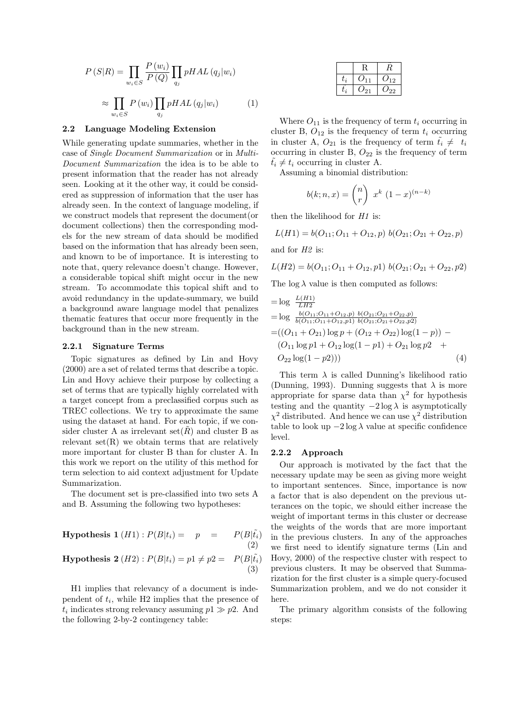$$
P(S|R) = \prod_{w_i \in S} \frac{P(w_i)}{P(Q)} \prod_{q_j} pHAL(q_j|w_i)
$$

$$
\approx \prod_{w_i \in S} P(w_i) \prod_{q_j} pHAL(q_j|w_i)
$$
(1)

#### 2.2 Language Modeling Extension

While generating update summaries, whether in the case of Single Document Summarization or in Multi-Document Summarization the idea is to be able to present information that the reader has not already seen. Looking at it the other way, it could be considered as suppression of information that the user has already seen. In the context of language modeling, if we construct models that represent the document(or document collections) then the corresponding models for the new stream of data should be modified based on the information that has already been seen, and known to be of importance. It is interesting to note that, query relevance doesn't change. However, a considerable topical shift might occur in the new stream. To accommodate this topical shift and to avoid redundancy in the update-summary, we build a background aware language model that penalizes thematic features that occur more frequently in the background than in the new stream.

#### 2.2.1 Signature Terms

Topic signatures as defined by Lin and Hovy (2000) are a set of related terms that describe a topic. Lin and Hovy achieve their purpose by collecting a set of terms that are typically highly correlated with a target concept from a preclassified corpus such as TREC collections. We try to approximate the same using the dataset at hand. For each topic, if we consider cluster A as irrelevant set( $\hat{R}$ ) and cluster B as relevant  $set(R)$  we obtain terms that are relatively more important for cluster B than for cluster A. In this work we report on the utility of this method for term selection to aid context adjustment for Update Summarization.

The document set is pre-classified into two sets A and B. Assuming the following two hypotheses:

**Hypothesis 1** 
$$
(H1): P(B|t_i) = p = P(B|\tilde{t}_i)
$$
  
(2)

## **Hypothesis 2** (*H2*) :  $P(B|t_i) = p1 \neq p2 = P(B|\tilde{t_i})$ (3)

H1 implies that relevancy of a document is independent of  $t_i$ , while H2 implies that the presence of  $t_i$  indicates strong relevancy assuming  $p_1 \gg p_2$ . And the following 2-by-2 contingency table:

| l i | 11  | 12          |
|-----|-----|-------------|
|     | '21 | $^{\prime}$ |

Where  $O_{11}$  is the frequency of term  $t_i$  occurring in cluster B,  $O_{12}$  is the frequency of term  $t_i$  occurring in cluster A,  $O_{21}$  is the frequency of term  $t_i \neq t_i$ occurring in cluster B,  $O_{22}$  is the frequency of term  $t_i \neq t_i$  occurring in cluster A.

Assuming a binomial distribution:

$$
b(k; n, x) = {n \choose r} x^{k} (1-x)^{(n-k)}
$$

then the likelihood for  $H1$  is:

$$
L(H1) = b(O_{11}; O_{11} + O_{12}, p) b(O_{21}; O_{21} + O_{22}, p)
$$

and for H2 is:

$$
L(H2) = b(O_{11}; O_{11} + O_{12}, p1) b(O_{21}; O_{21} + O_{22}, p2)
$$

The log  $\lambda$  value is then computed as follows:

$$
= \log \frac{L(H1)}{LH2}
$$
  
= log  $\frac{b(O_{11}; O_{11} + O_{12}, p) b(O_{21}; O_{21} + O_{22}, p)}{b(O_{11}; O_{11} + O_{12}, p1) b(O_{21}; O_{21} + O_{22}, p2)}$   
=  $((O_{11} + O_{21}) \log p + (O_{12} + O_{22}) \log(1 - p)) -$   
 $(O_{11} \log p1 + O_{12} \log(1 - p1) + O_{21} \log p2 +$   
 $O_{22} \log(1 - p2)))$  (4)

This term  $\lambda$  is called Dunning's likelihood ratio (Dunning, 1993). Dunning suggests that  $\lambda$  is more appropriate for sparse data than  $\chi^2$  for hypothesis testing and the quantity  $-2 \log \lambda$  is asymptotically  $\chi^2$  distributed. And hence we can use  $\chi^2$  distribution table to look up  $-2 \log \lambda$  value at specific confidence level.

#### 2.2.2 Approach

Our approach is motivated by the fact that the necessary update may be seen as giving more weight to important sentences. Since, importance is now a factor that is also dependent on the previous utterances on the topic, we should either increase the weight of important terms in this cluster or decrease the weights of the words that are more important in the previous clusters. In any of the approaches we first need to identify signature terms (Lin and Hovy, 2000) of the respective cluster with respect to previous clusters. It may be observed that Summarization for the first cluster is a simple query-focused Summarization problem, and we do not consider it here.

The primary algorithm consists of the following steps: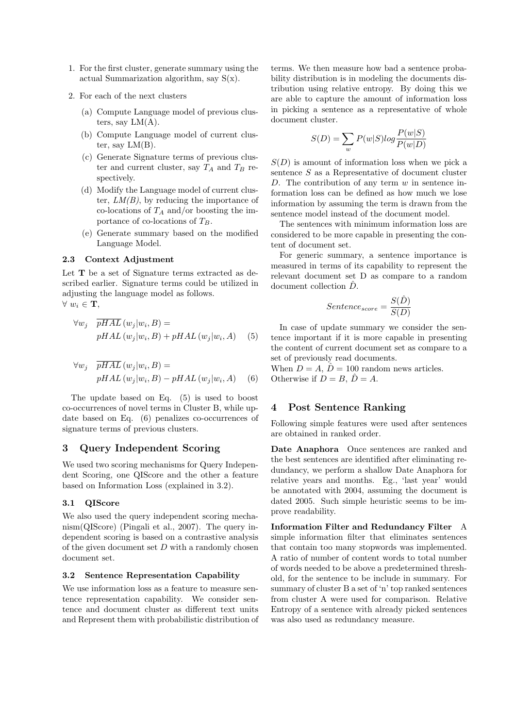- 1. For the first cluster, generate summary using the actual Summarization algorithm, say S(x).
- 2. For each of the next clusters
	- (a) Compute Language model of previous clusters, say  $LM(A)$ .
	- (b) Compute Language model of current cluster, say  $LM(B)$ .
	- (c) Generate Signature terms of previous cluster and current cluster, say  $T_A$  and  $T_B$  respectively.
	- (d) Modify the Language model of current cluster,  $LM(B)$ , by reducing the importance of co-locations of  $T_A$  and/or boosting the importance of co-locations of  $T_B$ .
	- (e) Generate summary based on the modified Language Model.

## 2.3 Context Adjustment

Let **T** be a set of Signature terms extracted as described earlier. Signature terms could be utilized in adjusting the language model as follows.  $\forall w_i \in \mathbf{T}$ ,

$$
\forall w_j \quad \overline{pHAL} (w_j|w_i, B) =
$$
  
 
$$
pHAL (w_j|w_i, B) + pHAL (w_j|w_i, A) \quad (5)
$$

$$
\forall w_j \quad \overline{pHAL}(w_j|w_i, B) =
$$
  
 
$$
pHAL(w_j|w_i, B) - pHAL(w_j|w_i, A) \quad (6)
$$

The update based on Eq. (5) is used to boost co-occurrences of novel terms in Cluster B, while update based on Eq. (6) penalizes co-occurrences of signature terms of previous clusters.

## 3 Query Independent Scoring

We used two scoring mechanisms for Query Independent Scoring, one QIScore and the other a feature based on Information Loss (explained in 3.2).

### 3.1 QIScore

We also used the query independent scoring mechanism(QIScore) (Pingali et al., 2007). The query independent scoring is based on a contrastive analysis of the given document set  $D$  with a randomly chosen document set.

#### 3.2 Sentence Representation Capability

We use information loss as a feature to measure sentence representation capability. We consider sentence and document cluster as different text units and Represent them with probabilistic distribution of

terms. We then measure how bad a sentence probability distribution is in modeling the documents distribution using relative entropy. By doing this we are able to capture the amount of information loss in picking a sentence as a representative of whole document cluster.

$$
S(D) = \sum_{w} P(w|S)log \frac{P(w|S)}{P(w|D)}
$$

 $S(D)$  is amount of information loss when we pick a sentence S as a Representative of document cluster D. The contribution of any term  $w$  in sentence information loss can be defined as how much we lose information by assuming the term is drawn from the sentence model instead of the document model.

The sentences with minimum information loss are considered to be more capable in presenting the content of document set.

For generic summary, a sentence importance is measured in terms of its capability to represent the relevant document set D as compare to a random document collection  $\hat{D}$ .

$$
Sentence_{score} = \frac{S(\hat{D})}{S(D)}
$$

In case of update summary we consider the sentence important if it is more capable in presenting the content of current document set as compare to a set of previously read documents.

When  $D = A$ ,  $\hat{D} = 100$  random news articles. Otherwise if  $D = B$ ,  $\hat{D} = A$ .

## 4 Post Sentence Ranking

Following simple features were used after sentences are obtained in ranked order.

Date Anaphora Once sentences are ranked and the best sentences are identified after eliminating redundancy, we perform a shallow Date Anaphora for relative years and months. Eg., 'last year' would be annotated with 2004, assuming the document is dated 2005. Such simple heuristic seems to be improve readability.

Information Filter and Redundancy Filter A simple information filter that eliminates sentences that contain too many stopwords was implemented. A ratio of number of content words to total number of words needed to be above a predetermined threshold, for the sentence to be include in summary. For summary of cluster B a set of 'n' top ranked sentences from cluster A were used for comparison. Relative Entropy of a sentence with already picked sentences was also used as redundancy measure.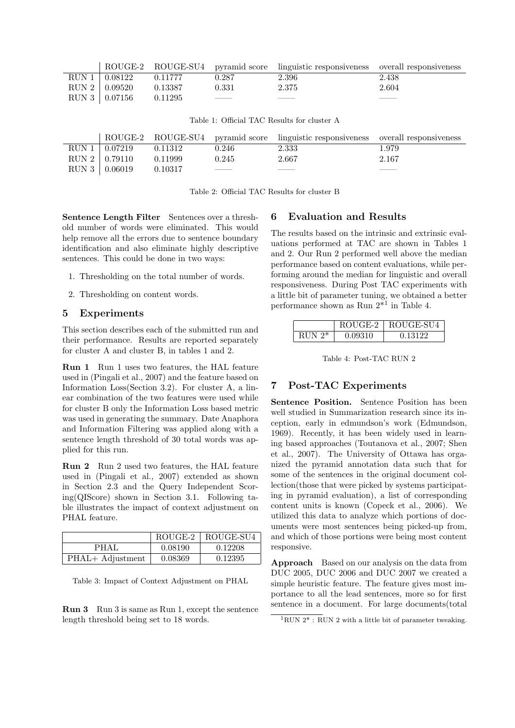|                 |         |                                                                                                                                                                                                                                                                                                                                                                                                                                                                            | ROUGE-2 ROUGE-SU4 pyramid score linguistic responsiveness overall responsiveness |       |
|-----------------|---------|----------------------------------------------------------------------------------------------------------------------------------------------------------------------------------------------------------------------------------------------------------------------------------------------------------------------------------------------------------------------------------------------------------------------------------------------------------------------------|----------------------------------------------------------------------------------|-------|
| RUN 1   0.08122 | 0.11777 | 0.287                                                                                                                                                                                                                                                                                                                                                                                                                                                                      | 2.396                                                                            | 2.438 |
| RUN 2   0.09520 | 0.13387 | 0.331                                                                                                                                                                                                                                                                                                                                                                                                                                                                      | 2.375                                                                            | 2.604 |
| RUN 3   0.07156 | 0.11295 | $\frac{1}{2} \left( \frac{1}{2} \right) \left( \frac{1}{2} \right) \left( \frac{1}{2} \right) \left( \frac{1}{2} \right) \left( \frac{1}{2} \right) \left( \frac{1}{2} \right) \left( \frac{1}{2} \right) \left( \frac{1}{2} \right) \left( \frac{1}{2} \right) \left( \frac{1}{2} \right) \left( \frac{1}{2} \right) \left( \frac{1}{2} \right) \left( \frac{1}{2} \right) \left( \frac{1}{2} \right) \left( \frac{1}{2} \right) \left( \frac{1}{2} \right) \left( \frac$ | _____                                                                            |       |

| Table 1: Official TAC Results for cluster A |
|---------------------------------------------|
|---------------------------------------------|

|                 |         |                                                                                                                                                                                                                                                                                                                                                                                                                                                                            | ROUGE-2 ROUGE-SU4 pyramid score linguistic responsiveness overall responsiveness |       |
|-----------------|---------|----------------------------------------------------------------------------------------------------------------------------------------------------------------------------------------------------------------------------------------------------------------------------------------------------------------------------------------------------------------------------------------------------------------------------------------------------------------------------|----------------------------------------------------------------------------------|-------|
| RUN 1   0.07219 | 0.11312 | 0.246                                                                                                                                                                                                                                                                                                                                                                                                                                                                      | 2.333                                                                            | 1.979 |
| RUN 2   0.79110 | 0.11999 | 0.245                                                                                                                                                                                                                                                                                                                                                                                                                                                                      | 2.667                                                                            | 2.167 |
| RUN 3   0.06019 | 0.10317 | $\frac{1}{2} \left( \frac{1}{2} \right) \left( \frac{1}{2} \right) \left( \frac{1}{2} \right) \left( \frac{1}{2} \right) \left( \frac{1}{2} \right) \left( \frac{1}{2} \right) \left( \frac{1}{2} \right) \left( \frac{1}{2} \right) \left( \frac{1}{2} \right) \left( \frac{1}{2} \right) \left( \frac{1}{2} \right) \left( \frac{1}{2} \right) \left( \frac{1}{2} \right) \left( \frac{1}{2} \right) \left( \frac{1}{2} \right) \left( \frac{1}{2} \right) \left( \frac$ |                                                                                  |       |

Table 2: Official TAC Results for cluster B

Sentence Length Filter Sentences over a threshold number of words were eliminated. This would help remove all the errors due to sentence boundary identification and also eliminate highly descriptive sentences. This could be done in two ways:

- 1. Thresholding on the total number of words.
- 2. Thresholding on content words.

## 5 Experiments

This section describes each of the submitted run and their performance. Results are reported separately for cluster A and cluster B, in tables 1 and 2.

Run 1 Run 1 uses two features, the HAL feature used in (Pingali et al., 2007) and the feature based on Information Loss(Section 3.2). For cluster A, a linear combination of the two features were used while for cluster B only the Information Loss based metric was used in generating the summary. Date Anaphora and Information Filtering was applied along with a sentence length threshold of 30 total words was applied for this run.

Run 2 Run 2 used two features, the HAL feature used in (Pingali et al., 2007) extended as shown in Section 2.3 and the Query Independent Scoring(QIScore) shown in Section 3.1. Following table illustrates the impact of context adjustment on PHAL feature.

|                  |         | $ROUGE-2$   $ROUGE-SU4$ |
|------------------|---------|-------------------------|
| PHAL             | 0.08190 | 0.12208                 |
| PHAL+ Adjustment | 0.08369 | 0.12395                 |

| Table 3: Impact of Context Adjustment on PHAL |  |  |  |  |
|-----------------------------------------------|--|--|--|--|
|                                               |  |  |  |  |

Run 3 Run 3 is same as Run 1, except the sentence length threshold being set to 18 words.

## 6 Evaluation and Results

The results based on the intrinsic and extrinsic evaluations performed at TAC are shown in Tables 1 and 2. Our Run 2 performed well above the median performance based on content evaluations, while performing around the median for linguistic and overall responsiveness. During Post TAC experiments with a little bit of parameter tuning, we obtained a better performance shown as Run 2\*<sup>1</sup> in Table 4.

|           | ROUGE-2 | ROUGE-SU4 |
|-----------|---------|-----------|
| RUN $2^*$ | 0.09310 | 0.13122   |

Table 4: Post-TAC RUN 2

### 7 Post-TAC Experiments

Sentence Position. Sentence Position has been well studied in Summarization research since its inception, early in edmundson's work (Edmundson, 1969). Recently, it has been widely used in learning based approaches (Toutanova et al., 2007; Shen et al., 2007). The University of Ottawa has organized the pyramid annotation data such that for some of the sentences in the original document collection(those that were picked by systems participating in pyramid evaluation), a list of corresponding content units is known (Copeck et al., 2006). We utilized this data to analyze which portions of documents were most sentences being picked-up from, and which of those portions were being most content responsive.

Approach Based on our analysis on the data from DUC 2005, DUC 2006 and DUC 2007 we created a simple heuristic feature. The feature gives most importance to all the lead sentences, more so for first sentence in a document. For large documents(total

 $1$ RUN  $2^*$ : RUN 2 with a little bit of parameter tweaking.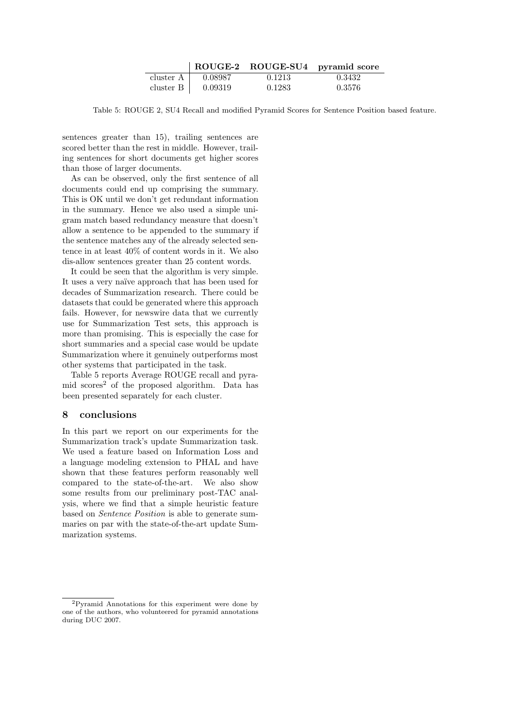|             |         |        | ROUGE-2 ROUGE-SU4 pyramid score |
|-------------|---------|--------|---------------------------------|
| cluster $A$ | 0.08987 | 0.1213 | 0.3432                          |
| cluster B   | 0.09319 | 0.1283 | 0.3576                          |

Table 5: ROUGE 2, SU4 Recall and modified Pyramid Scores for Sentence Position based feature.

sentences greater than 15), trailing sentences are scored better than the rest in middle. However, trailing sentences for short documents get higher scores than those of larger documents.

As can be observed, only the first sentence of all documents could end up comprising the summary. This is OK until we don't get redundant information in the summary. Hence we also used a simple unigram match based redundancy measure that doesn't allow a sentence to be appended to the summary if the sentence matches any of the already selected sentence in at least 40% of content words in it. We also dis-allow sentences greater than 25 content words.

It could be seen that the algorithm is very simple. It uses a very naïve approach that has been used for decades of Summarization research. There could be datasets that could be generated where this approach fails. However, for newswire data that we currently use for Summarization Test sets, this approach is more than promising. This is especially the case for short summaries and a special case would be update Summarization where it genuinely outperforms most other systems that participated in the task.

Table 5 reports Average ROUGE recall and pyramid scores<sup>2</sup> of the proposed algorithm. Data has been presented separately for each cluster.

# 8 conclusions

In this part we report on our experiments for the Summarization track's update Summarization task. We used a feature based on Information Loss and a language modeling extension to PHAL and have shown that these features perform reasonably well compared to the state-of-the-art. We also show some results from our preliminary post-TAC analysis, where we find that a simple heuristic feature based on Sentence Position is able to generate summaries on par with the state-of-the-art update Summarization systems.

<sup>2</sup>Pyramid Annotations for this experiment were done by one of the authors, who volunteered for pyramid annotations during DUC 2007.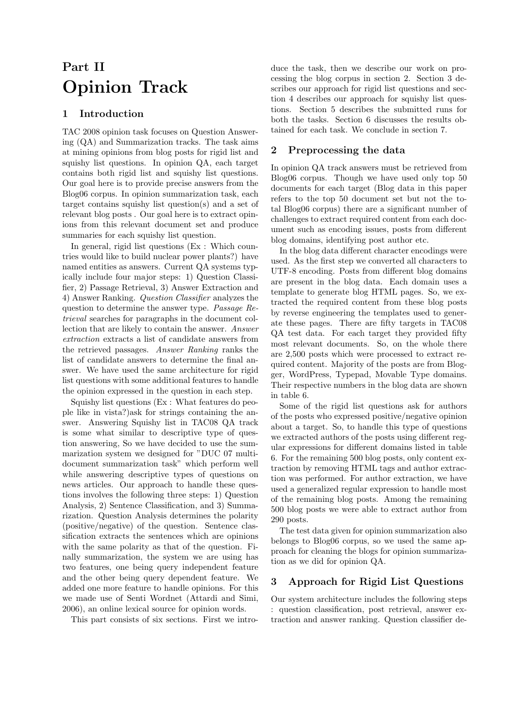# Part II Opinion Track

# 1 Introduction

TAC 2008 opinion task focuses on Question Answering (QA) and Summarization tracks. The task aims at mining opinions from blog posts for rigid list and squishy list questions. In opinion QA, each target contains both rigid list and squishy list questions. Our goal here is to provide precise answers from the Blog06 corpus. In opinion summarization task, each target contains squishy list question(s) and a set of relevant blog posts . Our goal here is to extract opinions from this relevant document set and produce summaries for each squishy list question.

In general, rigid list questions (Ex : Which countries would like to build nuclear power plants?) have named entities as answers. Current QA systems typically include four major steps: 1) Question Classifier, 2) Passage Retrieval, 3) Answer Extraction and 4) Answer Ranking. Question Classifier analyzes the question to determine the answer type. Passage Retrieval searches for paragraphs in the document collection that are likely to contain the answer. Answer extraction extracts a list of candidate answers from the retrieved passages. Answer Ranking ranks the list of candidate answers to determine the final answer. We have used the same architecture for rigid list questions with some additional features to handle the opinion expressed in the question in each step.

Squishy list questions (Ex : What features do people like in vista?)ask for strings containing the answer. Answering Squishy list in TAC08 QA track is some what similar to descriptive type of question answering, So we have decided to use the summarization system we designed for "DUC 07 multidocument summarization task" which perform well while answering descriptive types of questions on news articles. Our approach to handle these questions involves the following three steps: 1) Question Analysis, 2) Sentence Classification, and 3) Summarization. Question Analysis determines the polarity (positive/negative) of the question. Sentence classification extracts the sentences which are opinions with the same polarity as that of the question. Finally summarization, the system we are using has two features, one being query independent feature and the other being query dependent feature. We added one more feature to handle opinions. For this we made use of Senti Wordnet (Attardi and Simi, 2006), an online lexical source for opinion words.

This part consists of six sections. First we intro-

duce the task, then we describe our work on processing the blog corpus in section 2. Section 3 describes our approach for rigid list questions and section 4 describes our approach for squishy list questions. Section 5 describes the submitted runs for both the tasks. Section 6 discusses the results obtained for each task. We conclude in section 7.

## 2 Preprocessing the data

In opinion QA track answers must be retrieved from Blog06 corpus. Though we have used only top 50 documents for each target (Blog data in this paper refers to the top 50 document set but not the total Blog06 corpus) there are a significant number of challenges to extract required content from each document such as encoding issues, posts from different blog domains, identifying post author etc.

In the blog data different character encodings were used. As the first step we converted all characters to UTF-8 encoding. Posts from different blog domains are present in the blog data. Each domain uses a template to generate blog HTML pages. So, we extracted the required content from these blog posts by reverse engineering the templates used to generate these pages. There are fifty targets in TAC08 QA test data. For each target they provided fifty most relevant documents. So, on the whole there are 2,500 posts which were processed to extract required content. Majority of the posts are from Blogger, WordPress, Typepad, Movable Type domains. Their respective numbers in the blog data are shown in table 6.

Some of the rigid list questions ask for authors of the posts who expressed positive/negative opinion about a target. So, to handle this type of questions we extracted authors of the posts using different regular expressions for different domains listed in table 6. For the remaining 500 blog posts, only content extraction by removing HTML tags and author extraction was performed. For author extraction, we have used a generalized regular expression to handle most of the remaining blog posts. Among the remaining 500 blog posts we were able to extract author from 290 posts.

The test data given for opinion summarization also belongs to Blog06 corpus, so we used the same approach for cleaning the blogs for opinion summarization as we did for opinion QA.

# 3 Approach for Rigid List Questions

Our system architecture includes the following steps : question classification, post retrieval, answer extraction and answer ranking. Question classifier de-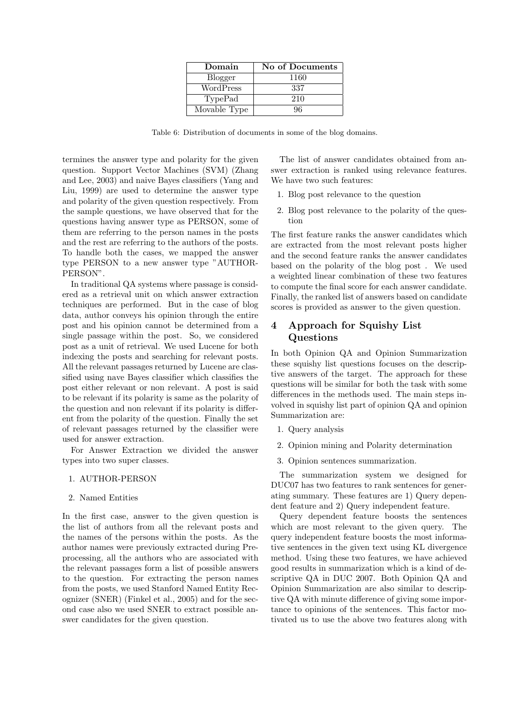| Domain         | No of Documents |
|----------------|-----------------|
| <b>Blogger</b> | 1160            |
| WordPress      | 337             |
| TypePad        | 210             |
| Movable Type   | 96              |

Table 6: Distribution of documents in some of the blog domains.

termines the answer type and polarity for the given question. Support Vector Machines (SVM) (Zhang and Lee, 2003) and naive Bayes classifiers (Yang and Liu, 1999) are used to determine the answer type and polarity of the given question respectively. From the sample questions, we have observed that for the questions having answer type as PERSON, some of them are referring to the person names in the posts and the rest are referring to the authors of the posts. To handle both the cases, we mapped the answer type PERSON to a new answer type "AUTHOR-PERSON".

In traditional QA systems where passage is considered as a retrieval unit on which answer extraction techniques are performed. But in the case of blog data, author conveys his opinion through the entire post and his opinion cannot be determined from a single passage within the post. So, we considered post as a unit of retrieval. We used Lucene for both indexing the posts and searching for relevant posts. All the relevant passages returned by Lucene are classified using nave Bayes classifier which classifies the post either relevant or non relevant. A post is said to be relevant if its polarity is same as the polarity of the question and non relevant if its polarity is different from the polarity of the question. Finally the set of relevant passages returned by the classifier were used for answer extraction.

For Answer Extraction we divided the answer types into two super classes.

- 1. AUTHOR-PERSON
- 2. Named Entities

In the first case, answer to the given question is the list of authors from all the relevant posts and the names of the persons within the posts. As the author names were previously extracted during Preprocessing, all the authors who are associated with the relevant passages form a list of possible answers to the question. For extracting the person names from the posts, we used Stanford Named Entity Recognizer (SNER) (Finkel et al., 2005) and for the second case also we used SNER to extract possible answer candidates for the given question.

The list of answer candidates obtained from answer extraction is ranked using relevance features. We have two such features:

- 1. Blog post relevance to the question
- 2. Blog post relevance to the polarity of the question

The first feature ranks the answer candidates which are extracted from the most relevant posts higher and the second feature ranks the answer candidates based on the polarity of the blog post . We used a weighted linear combination of these two features to compute the final score for each answer candidate. Finally, the ranked list of answers based on candidate scores is provided as answer to the given question.

# 4 Approach for Squishy List Questions

In both Opinion QA and Opinion Summarization these squishy list questions focuses on the descriptive answers of the target. The approach for these questions will be similar for both the task with some differences in the methods used. The main steps involved in squishy list part of opinion QA and opinion Summarization are:

- 1. Query analysis
- 2. Opinion mining and Polarity determination
- 3. Opinion sentences summarization.

The summarization system we designed for DUC07 has two features to rank sentences for generating summary. These features are 1) Query dependent feature and 2) Query independent feature.

Query dependent feature boosts the sentences which are most relevant to the given query. The query independent feature boosts the most informative sentences in the given text using KL divergence method. Using these two features, we have achieved good results in summarization which is a kind of descriptive QA in DUC 2007. Both Opinion QA and Opinion Summarization are also similar to descriptive QA with minute difference of giving some importance to opinions of the sentences. This factor motivated us to use the above two features along with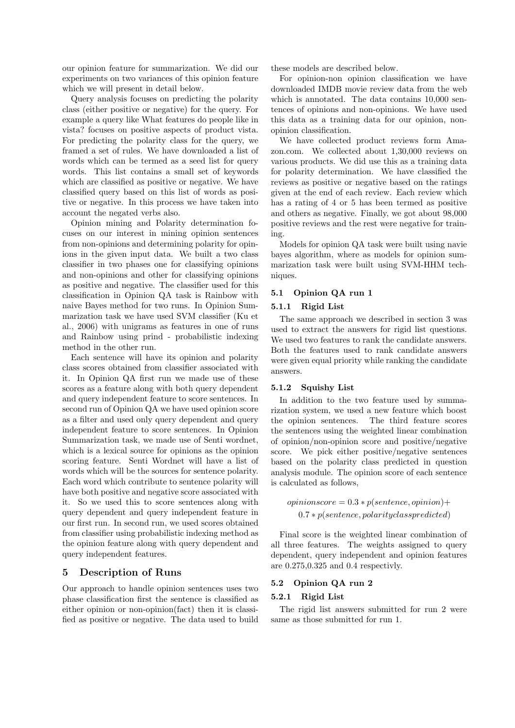our opinion feature for summarization. We did our experiments on two variances of this opinion feature which we will present in detail below.

Query analysis focuses on predicting the polarity class (either positive or negative) for the query. For example a query like What features do people like in vista? focuses on positive aspects of product vista. For predicting the polarity class for the query, we framed a set of rules. We have downloaded a list of words which can be termed as a seed list for query words. This list contains a small set of keywords which are classified as positive or negative. We have classified query based on this list of words as positive or negative. In this process we have taken into account the negated verbs also.

Opinion mining and Polarity determination focuses on our interest in mining opinion sentences from non-opinions and determining polarity for opinions in the given input data. We built a two class classifier in two phases one for classifying opinions and non-opinions and other for classifying opinions as positive and negative. The classifier used for this classification in Opinion QA task is Rainbow with naive Bayes method for two runs. In Opinion Summarization task we have used SVM classifier (Ku et al., 2006) with unigrams as features in one of runs and Rainbow using prind - probabilistic indexing method in the other run.

Each sentence will have its opinion and polarity class scores obtained from classifier associated with it. In Opinion QA first run we made use of these scores as a feature along with both query dependent and query independent feature to score sentences. In second run of Opinion QA we have used opinion score as a filter and used only query dependent and query independent feature to score sentences. In Opinion Summarization task, we made use of Senti wordnet, which is a lexical source for opinions as the opinion scoring feature. Senti Wordnet will have a list of words which will be the sources for sentence polarity. Each word which contribute to sentence polarity will have both positive and negative score associated with it. So we used this to score sentences along with query dependent and query independent feature in our first run. In second run, we used scores obtained from classifier using probabilistic indexing method as the opinion feature along with query dependent and query independent features.

### 5 Description of Runs

Our approach to handle opinion sentences uses two phase classification first the sentence is classified as either opinion or non-opinion(fact) then it is classified as positive or negative. The data used to build these models are described below.

For opinion-non opinion classification we have downloaded IMDB movie review data from the web which is annotated. The data contains 10,000 sentences of opinions and non-opinions. We have used this data as a training data for our opinion, nonopinion classification.

We have collected product reviews form Amazon.com. We collected about 1,30,000 reviews on various products. We did use this as a training data for polarity determination. We have classified the reviews as positive or negative based on the ratings given at the end of each review. Each review which has a rating of 4 or 5 has been termed as positive and others as negative. Finally, we got about 98,000 positive reviews and the rest were negative for training.

Models for opinion QA task were built using navie bayes algorithm, where as models for opinion summarization task were built using SVM-HHM techniques.

### 5.1 Opinion QA run 1

## 5.1.1 Rigid List

The same approach we described in section 3 was used to extract the answers for rigid list questions. We used two features to rank the candidate answers. Both the features used to rank candidate answers were given equal priority while ranking the candidate answers.

#### 5.1.2 Squishy List

In addition to the two feature used by summarization system, we used a new feature which boost the opinion sentences. The third feature scores the sentences using the weighted linear combination of opinion/non-opinion score and positive/negative score. We pick either positive/negative sentences based on the polarity class predicted in question analysis module. The opinion score of each sentence is calculated as follows,

 $opinioscore = 0.3 * p(sentence, opinion) +$ 0.7 ∗ p(sentence, polarityclasspredicted)

Final score is the weighted linear combination of all three features. The weights assigned to query dependent, query independent and opinion features are 0.275,0.325 and 0.4 respectivly.

#### 5.2 Opinion QA run 2

#### 5.2.1 Rigid List

The rigid list answers submitted for run 2 were same as those submitted for run 1.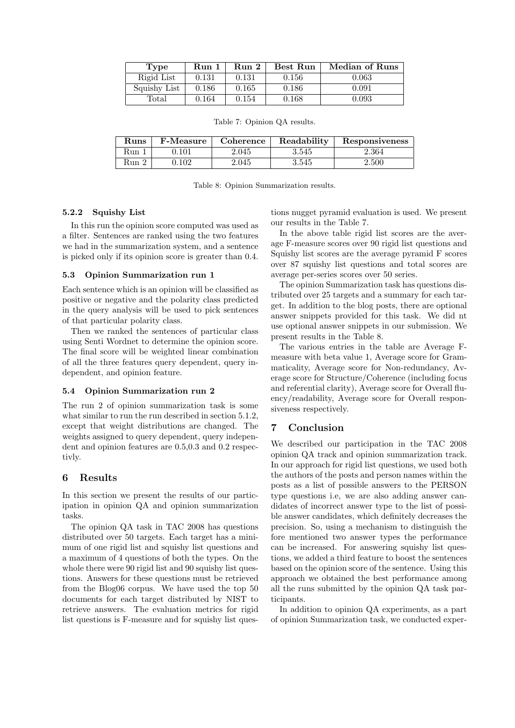| Type         | Run 1 | Run 2 | Best Run | Median of Runs |
|--------------|-------|-------|----------|----------------|
| Rigid List   | 0.131 | 0.131 | 0.156    | 0.063          |
| Squishy List | 0.186 | 0.165 | 0.186    | 0.091          |
| Total        | 0.164 | 0.154 | 0.168    | 0.093          |

Table 7: Opinion QA results.

| <b>Runs</b> | <b>F-Measure</b> | Coherence | Readability | Responsiveness |
|-------------|------------------|-----------|-------------|----------------|
| – Kun       | ۔101،            | 2.045     | 3.545       | 2.364          |
| Run 2       | .102             | 2.045     | $3.545\,$   | 2.500          |

Table 8: Opinion Summarization results.

## 5.2.2 Squishy List

In this run the opinion score computed was used as a filter. Sentences are ranked using the two features we had in the summarization system, and a sentence is picked only if its opinion score is greater than 0.4.

#### 5.3 Opinion Summarization run 1

Each sentence which is an opinion will be classified as positive or negative and the polarity class predicted in the query analysis will be used to pick sentences of that particular polarity class.

Then we ranked the sentences of particular class using Senti Wordnet to determine the opinion score. The final score will be weighted linear combination of all the three features query dependent, query independent, and opinion feature.

## 5.4 Opinion Summarization run 2

The run 2 of opinion summarization task is some what similar to run the run described in section 5.1.2, except that weight distributions are changed. The weights assigned to query dependent, query independent and opinion features are 0.5,0.3 and 0.2 respectivly.

# 6 Results

In this section we present the results of our participation in opinion QA and opinion summarization tasks.

The opinion QA task in TAC 2008 has questions distributed over 50 targets. Each target has a minimum of one rigid list and squishy list questions and a maximum of 4 questions of both the types. On the whole there were 90 rigid list and 90 squishy list questions. Answers for these questions must be retrieved from the Blog06 corpus. We have used the top 50 documents for each target distributed by NIST to retrieve answers. The evaluation metrics for rigid list questions is F-measure and for squishy list ques-

tions nugget pyramid evaluation is used. We present our results in the Table 7.

In the above table rigid list scores are the average F-measure scores over 90 rigid list questions and Squishy list scores are the average pyramid F scores over 87 squishy list questions and total scores are average per-series scores over 50 series.

The opinion Summarization task has questions distributed over 25 targets and a summary for each target. In addition to the blog posts, there are optional answer snippets provided for this task. We did nt use optional answer snippets in our submission. We present results in the Table 8.

The various entries in the table are Average Fmeasure with beta value 1, Average score for Grammaticality, Average score for Non-redundancy, Average score for Structure/Coherence (including focus and referential clarity), Average score for Overall fluency/readability, Average score for Overall responsiveness respectively.

# 7 Conclusion

We described our participation in the TAC 2008 opinion QA track and opinion summarization track. In our approach for rigid list questions, we used both the authors of the posts and person names within the posts as a list of possible answers to the PERSON type questions i.e, we are also adding answer candidates of incorrect answer type to the list of possible answer candidates, which definitely decreases the precision. So, using a mechanism to distinguish the fore mentioned two answer types the performance can be increased. For answering squishy list questions, we added a third feature to boost the sentences based on the opinion score of the sentence. Using this approach we obtained the best performance among all the runs submitted by the opinion QA task participants.

In addition to opinion QA experiments, as a part of opinion Summarization task, we conducted exper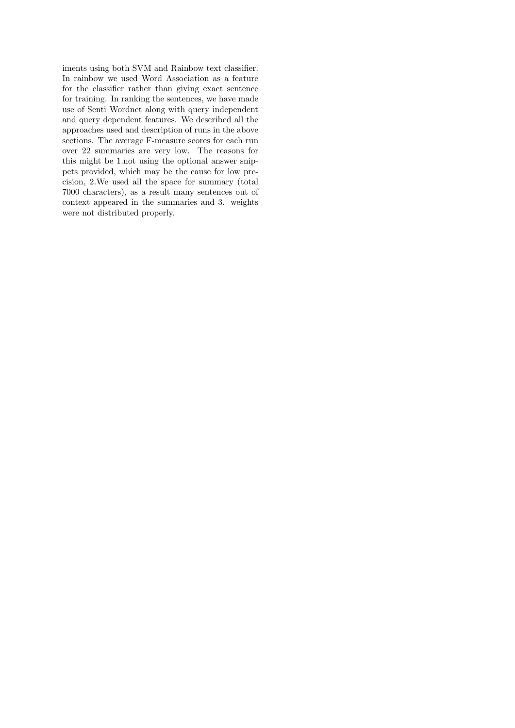iments using both SVM and Rainbow text classifier. In rainbow we used Word Association as a feature for the classifier rather than giving exact sentence for training. In ranking the sentences, we have made use of Senti Wordnet along with query independent and query dependent features. We described all the approaches used and description of runs in the above sections. The average F-measure scores for each run over 22 summaries are very low. The reasons for this might be 1.not using the optional answer snippets provided, which may be the cause for low precision, 2.We used all the space for summary (total 7000 characters), as a result many sentences out of context appeared in the summaries and 3. weights were not distributed properly.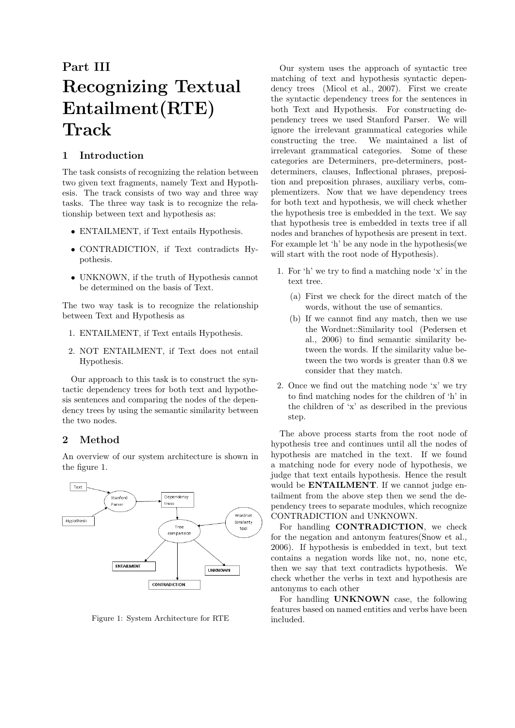# Part III Recognizing Textual Entailment(RTE) Track

# 1 Introduction

The task consists of recognizing the relation between two given text fragments, namely Text and Hypothesis. The track consists of two way and three way tasks. The three way task is to recognize the relationship between text and hypothesis as:

- ENTAILMENT, if Text entails Hypothesis.
- CONTRADICTION, if Text contradicts Hypothesis.
- UNKNOWN, if the truth of Hypothesis cannot be determined on the basis of Text.

The two way task is to recognize the relationship between Text and Hypothesis as

- 1. ENTAILMENT, if Text entails Hypothesis.
- 2. NOT ENTAILMENT, if Text does not entail Hypothesis.

Our approach to this task is to construct the syntactic dependency trees for both text and hypothesis sentences and comparing the nodes of the dependency trees by using the semantic similarity between the two nodes.

# 2 Method

An overview of our system architecture is shown in the figure 1.



Figure 1: System Architecture for RTE

Our system uses the approach of syntactic tree matching of text and hypothesis syntactic dependency trees (Micol et al., 2007). First we create the syntactic dependency trees for the sentences in both Text and Hypothesis. For constructing dependency trees we used Stanford Parser. We will ignore the irrelevant grammatical categories while constructing the tree. We maintained a list of irrelevant grammatical categories. Some of these categories are Determiners, pre-determiners, postdeterminers, clauses, Inflectional phrases, preposition and preposition phrases, auxiliary verbs, complementizers. Now that we have dependency trees for both text and hypothesis, we will check whether the hypothesis tree is embedded in the text. We say that hypothesis tree is embedded in texts tree if all nodes and branches of hypothesis are present in text. For example let 'h' be any node in the hypothesis(we will start with the root node of Hypothesis).

- 1. For 'h' we try to find a matching node 'x' in the text tree.
	- (a) First we check for the direct match of the words, without the use of semantics.
	- (b) If we cannot find any match, then we use the Wordnet::Similarity tool (Pedersen et al., 2006) to find semantic similarity between the words. If the similarity value between the two words is greater than 0.8 we consider that they match.
- 2. Once we find out the matching node 'x' we try to find matching nodes for the children of 'h' in the children of 'x' as described in the previous step.

The above process starts from the root node of hypothesis tree and continues until all the nodes of hypothesis are matched in the text. If we found a matching node for every node of hypothesis, we judge that text entails hypothesis. Hence the result would be **ENTAILMENT**. If we cannot judge entailment from the above step then we send the dependency trees to separate modules, which recognize CONTRADICTION and UNKNOWN.

For handling **CONTRADICTION**, we check for the negation and antonym features(Snow et al., 2006). If hypothesis is embedded in text, but text contains a negation words like not, no, none etc, then we say that text contradicts hypothesis. We check whether the verbs in text and hypothesis are antonyms to each other

For handling UNKNOWN case, the following features based on named entities and verbs have been included.